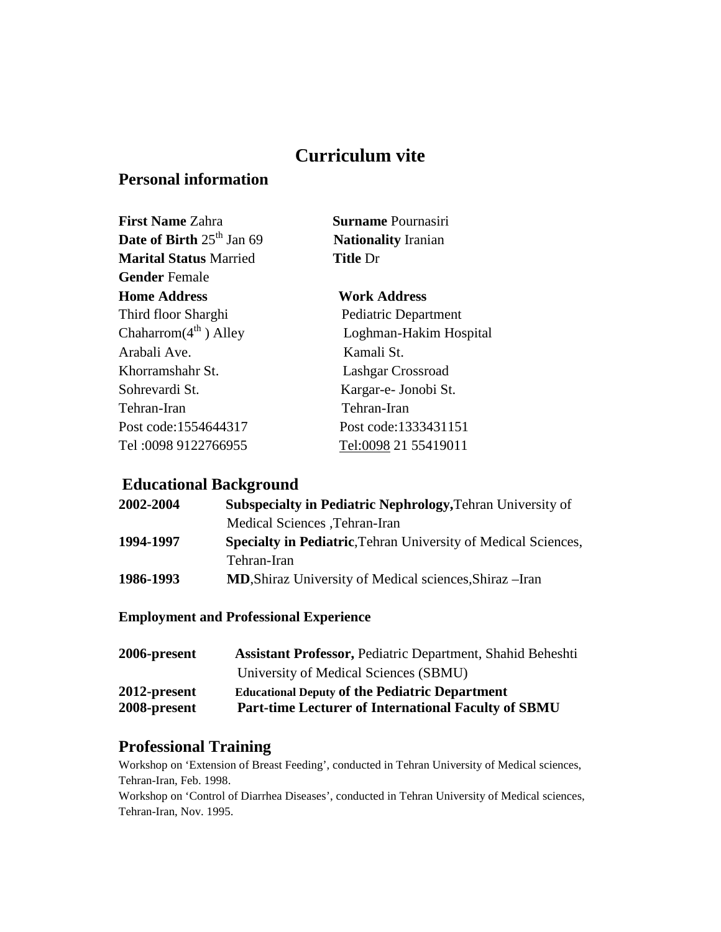# **Curriculum vite**

# **Personal information**

| <b>First Name Zahra</b>            | <b>Surname Pournasiri</b>  |
|------------------------------------|----------------------------|
| <b>Date of Birth</b> $25th$ Jan 69 | <b>Nationality Iranian</b> |
| <b>Marital Status Married</b>      | <b>Title Dr</b>            |
| <b>Gender</b> Female               |                            |
| <b>Home Address</b>                | <b>Work Address</b>        |
| Third floor Sharghi                | Pediatric Department       |
| Chaharrom $(4^{th})$ Alley         | Loghman-Hakim Hospital     |
| Arabali Ave.                       | Kamali St.                 |
| Khorramshahr St.                   | Lashgar Crossroad          |
| Sohrevardi St.                     | Kargar-e- Jonobi St.       |
| Tehran-Iran                        | Tehran-Iran                |
| Post code:1554644317               | Post code:1333431151       |
| Tel: 0098 9122766955               | Tel:0098 21 55419011       |

# **Educational Background**

| 2002-2004 | <b>Subspecialty in Pediatric Nephrology, Tehran University of</b>     |
|-----------|-----------------------------------------------------------------------|
|           | Medical Sciences , Tehran-Iran                                        |
| 1994-1997 | <b>Specialty in Pediatric, Tehran University of Medical Sciences,</b> |
|           | Tehran-Iran                                                           |
| 1986-1993 | <b>MD, Shiraz University of Medical sciences, Shiraz</b> – Iran       |

# **Employment and Professional Experience**

| 2006-present | <b>Assistant Professor, Pediatric Department, Shahid Beheshti</b> |
|--------------|-------------------------------------------------------------------|
|              | University of Medical Sciences (SBMU)                             |
| 2012-present | <b>Educational Deputy of the Pediatric Department</b>             |
| 2008-present | <b>Part-time Lecturer of International Faculty of SBMU</b>        |

# **Professional Training**

Workshop on 'Extension of Breast Feeding', conducted in Tehran University of Medical sciences, Tehran-Iran, Feb. 1998.

Workshop on 'Control of Diarrhea Diseases', conducted in Tehran University of Medical sciences, Tehran-Iran, Nov. 1995.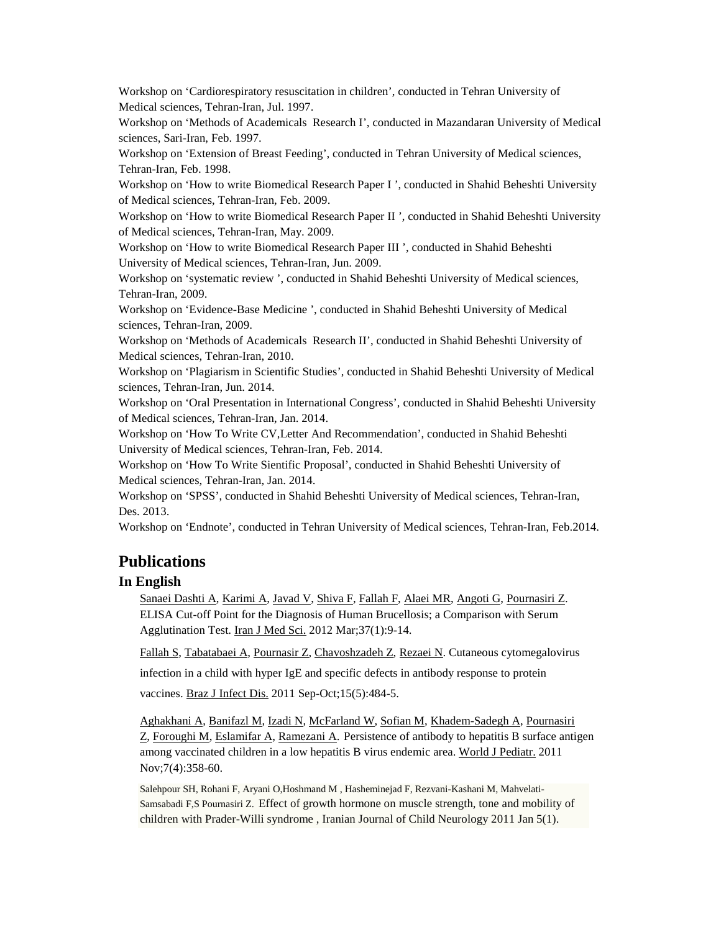Workshop on 'Cardiorespiratory resuscitation in children', conducted in Tehran University of Medical sciences, Tehran-Iran, Jul. 1997.

Workshop on 'Methods of Academicals Research I', conducted in Mazandaran University of Medical sciences, Sari-Iran, Feb. 1997.

Workshop on 'Extension of Breast Feeding', conducted in Tehran University of Medical sciences, Tehran-Iran, Feb. 1998.

Workshop on 'How to write Biomedical Research Paper I ', conducted in Shahid Beheshti University of Medical sciences, Tehran-Iran, Feb. 2009.

Workshop on 'How to write Biomedical Research Paper II ', conducted in Shahid Beheshti University of Medical sciences, Tehran-Iran, May. 2009.

Workshop on 'How to write Biomedical Research Paper III ', conducted in Shahid Beheshti University of Medical sciences, Tehran-Iran, Jun. 2009.

Workshop on 'systematic review ', conducted in Shahid Beheshti University of Medical sciences, Tehran-Iran, 2009.

Workshop on 'Evidence-Base Medicine ', conducted in Shahid Beheshti University of Medical sciences, Tehran-Iran, 2009.

Workshop on 'Methods of Academicals Research II', conducted in Shahid Beheshti University of Medical sciences, Tehran-Iran, 2010.

Workshop on 'Plagiarism in Scientific Studies', conducted in Shahid Beheshti University of Medical sciences, Tehran-Iran, Jun. 2014.

Workshop on 'Oral Presentation in International Congress', conducted in Shahid Beheshti University of Medical sciences, Tehran-Iran, Jan. 2014.

Workshop on 'How To Write CV,Letter And Recommendation', conducted in Shahid Beheshti University of Medical sciences, Tehran-Iran, Feb. 2014.

Workshop on 'How To Write Sientific Proposal', conducted in Shahid Beheshti University of Medical sciences, Tehran-Iran, Jan. 2014.

Workshop on 'SPSS', conducted in Shahid Beheshti University of Medical sciences, Tehran-Iran, Des. 2013.

Workshop on 'Endnote', conducted in Tehran University of Medical sciences, Tehran-Iran, Feb.2014.

#### **Publications**

#### **In English**

[Sanaei Dashti A,](http://www.ncbi.nlm.nih.gov/pubmed?term=Sanaei%20Dashti%20A%5BAuthor%5D&cauthor=true&cauthor_uid=23115425) [Karimi A,](http://www.ncbi.nlm.nih.gov/pubmed?term=Karimi%20A%5BAuthor%5D&cauthor=true&cauthor_uid=23115425) [Javad V,](http://www.ncbi.nlm.nih.gov/pubmed?term=Javad%20V%5BAuthor%5D&cauthor=true&cauthor_uid=23115425) [Shiva F,](http://www.ncbi.nlm.nih.gov/pubmed?term=Shiva%20F%5BAuthor%5D&cauthor=true&cauthor_uid=23115425) [Fallah F,](http://www.ncbi.nlm.nih.gov/pubmed?term=Fallah%20F%5BAuthor%5D&cauthor=true&cauthor_uid=23115425) [Alaei MR,](http://www.ncbi.nlm.nih.gov/pubmed?term=Alaei%20MR%5BAuthor%5D&cauthor=true&cauthor_uid=23115425) [Angoti G,](http://www.ncbi.nlm.nih.gov/pubmed?term=Angoti%20G%5BAuthor%5D&cauthor=true&cauthor_uid=23115425) [Pournasiri Z.](http://www.ncbi.nlm.nih.gov/pubmed?term=Pournasiri%20Z%5BAuthor%5D&cauthor=true&cauthor_uid=23115425) ELISA Cut-off Point for the Diagnosis of Human Brucellosis; a Comparison with Serum Agglutination Test. [Iran J Med Sci.](http://www.ncbi.nlm.nih.gov/pubmed/23115425) 2012 Mar;37(1):9-14.

[Fallah S,](http://www.ncbi.nlm.nih.gov/pubmed?term=Fallah%20S%5BAuthor%5D&cauthor=true&cauthor_uid=22230858) [Tabatabaei A,](http://www.ncbi.nlm.nih.gov/pubmed?term=Tabatabaei%20A%5BAuthor%5D&cauthor=true&cauthor_uid=22230858) [Pournasir Z,](http://www.ncbi.nlm.nih.gov/pubmed?term=Pournasir%20Z%5BAuthor%5D&cauthor=true&cauthor_uid=22230858) [Chavoshzadeh Z,](http://www.ncbi.nlm.nih.gov/pubmed?term=Chavoshzadeh%20Z%5BAuthor%5D&cauthor=true&cauthor_uid=22230858) [Rezaei N.](http://www.ncbi.nlm.nih.gov/pubmed?term=Rezaei%20N%5BAuthor%5D&cauthor=true&cauthor_uid=22230858) Cutaneous cytomegalovirus

infection in a child with hyper IgE and specific defects in antibody response to protein

vaccines. [Braz J Infect Dis.](http://www.ncbi.nlm.nih.gov/pubmed/22230858) 2011 Sep-Oct;15(5):484-5.

[Aghakhani A,](http://www.ncbi.nlm.nih.gov/pubmed?term=Aghakhani%20A%5BAuthor%5D&cauthor=true&cauthor_uid=21874619) [Banifazl M,](http://www.ncbi.nlm.nih.gov/pubmed?term=Banifazl%20M%5BAuthor%5D&cauthor=true&cauthor_uid=21874619) [Izadi N,](http://www.ncbi.nlm.nih.gov/pubmed?term=Izadi%20N%5BAuthor%5D&cauthor=true&cauthor_uid=21874619) [McFarland W,](http://www.ncbi.nlm.nih.gov/pubmed?term=McFarland%20W%5BAuthor%5D&cauthor=true&cauthor_uid=21874619) [Sofian M,](http://www.ncbi.nlm.nih.gov/pubmed?term=Sofian%20M%5BAuthor%5D&cauthor=true&cauthor_uid=21874619) [Khadem-Sadegh A,](http://www.ncbi.nlm.nih.gov/pubmed?term=Khadem-Sadegh%20A%5BAuthor%5D&cauthor=true&cauthor_uid=21874619) [Pournasiri](http://www.ncbi.nlm.nih.gov/pubmed?term=Pournasiri%20Z%5BAuthor%5D&cauthor=true&cauthor_uid=21874619)  [Z,](http://www.ncbi.nlm.nih.gov/pubmed?term=Pournasiri%20Z%5BAuthor%5D&cauthor=true&cauthor_uid=21874619) [Foroughi M,](http://www.ncbi.nlm.nih.gov/pubmed?term=Foroughi%20M%5BAuthor%5D&cauthor=true&cauthor_uid=21874619) [Eslamifar A,](http://www.ncbi.nlm.nih.gov/pubmed?term=Eslamifar%20A%5BAuthor%5D&cauthor=true&cauthor_uid=21874619) [Ramezani A.](http://www.ncbi.nlm.nih.gov/pubmed?term=Ramezani%20A%5BAuthor%5D&cauthor=true&cauthor_uid=21874619) Persistence of antibody to hepatitis B surface antigen among vaccinated children in a low hepatitis B virus endemic area. [World J Pediatr.](http://www.ncbi.nlm.nih.gov/pubmed/21874619) 2011 Nov;7(4):358-60.

Salehpour SH, Rohani F, Aryani O,Hoshmand M , Hasheminejad F, Rezvani-Kashani M, Mahvelati-Samsabadi F,S Pournasiri Z. Effect of growth hormone on muscle strength, tone and mobility of children with Prader-Willi syndrome , Iranian Journal of Child Neurology 2011 Jan 5(1).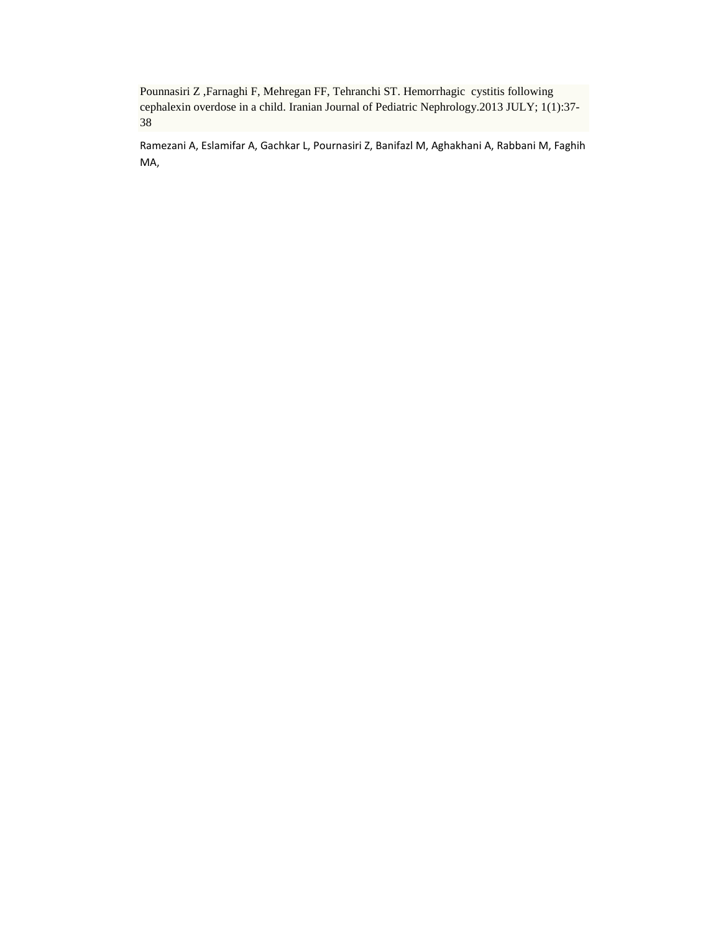Pounnasiri Z ,Farnaghi F, Mehregan FF, Tehranchi ST. Hemorrhagic cystitis following cephalexin overdose in a child. Iranian Journal of Pediatric Nephrology.2013 JULY; 1(1):37- 38

Ramezani A, Eslamifar A, Gachkar L, Pournasiri Z, Banifazl M, Aghakhani A, Rabbani M, Faghih MA,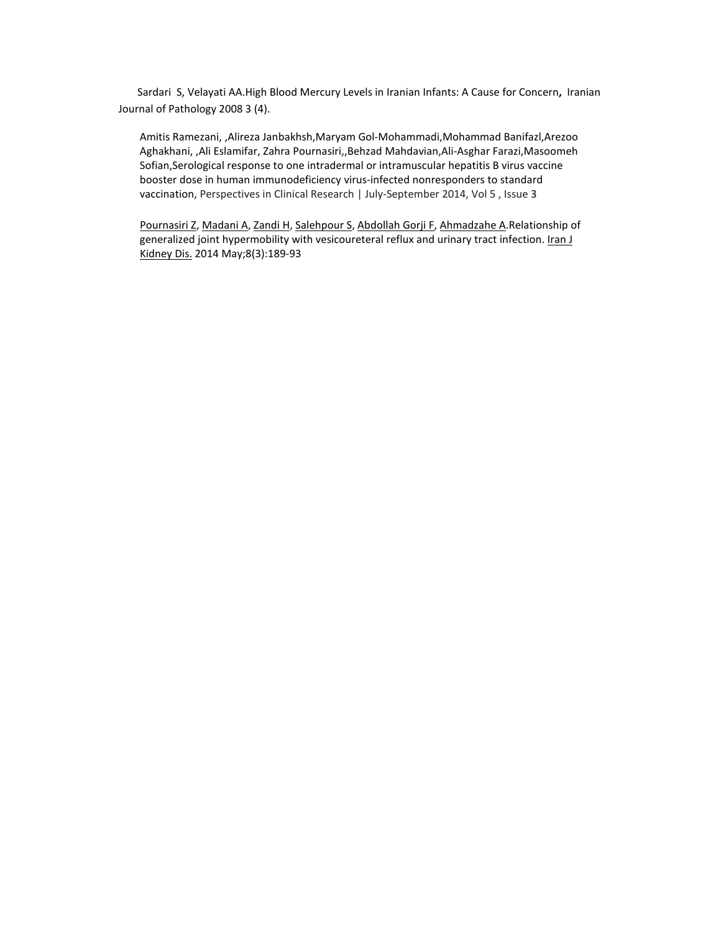Sardari S, Velayati AA.High Blood Mercury Levels in Iranian Infants: A Cause for Concern**,** Iranian Journal of Pathology 2008 3 (4).

Amitis Ramezani, ,Alireza Janbakhsh,Maryam Gol-Mohammadi,Mohammad Banifazl,Arezoo Aghakhani, ,Ali Eslamifar, Zahra Pournasiri,,Behzad Mahdavian,Ali-Asghar Farazi,Masoomeh Sofian,Serological response to one intradermal or intramuscular hepatitis B virus vaccine booster dose in human immunodeficiency virus-infected nonresponders to standard vaccination, Perspectives in Clinical Research | July-September 2014, Vol 5 , Issue 3

[Pournasiri Z,](http://www.ncbi.nlm.nih.gov/pubmed?term=Pournasiri%20Z%5BAuthor%5D&cauthor=true&cauthor_uid=24878940) [Madani A,](http://www.ncbi.nlm.nih.gov/pubmed?term=Madani%20A%5BAuthor%5D&cauthor=true&cauthor_uid=24878940) [Zandi H,](http://www.ncbi.nlm.nih.gov/pubmed?term=Zandi%20H%5BAuthor%5D&cauthor=true&cauthor_uid=24878940) [Salehpour S,](http://www.ncbi.nlm.nih.gov/pubmed?term=Salehpour%20S%5BAuthor%5D&cauthor=true&cauthor_uid=24878940) [Abdollah Gorji F,](http://www.ncbi.nlm.nih.gov/pubmed?term=Abdollah%20Gorji%20F%5BAuthor%5D&cauthor=true&cauthor_uid=24878940) [Ahmadzahe A.](http://www.ncbi.nlm.nih.gov/pubmed?term=Ahmadzahe%20A%5BAuthor%5D&cauthor=true&cauthor_uid=24878940)Relationship of generalized joint hypermobility with vesicoureteral reflux and urinary tract infection. Iran J [Kidney Dis.](http://www.ncbi.nlm.nih.gov/pubmed/?term=zahra+pournasiri++ijkd) 2014 May;8(3):189-93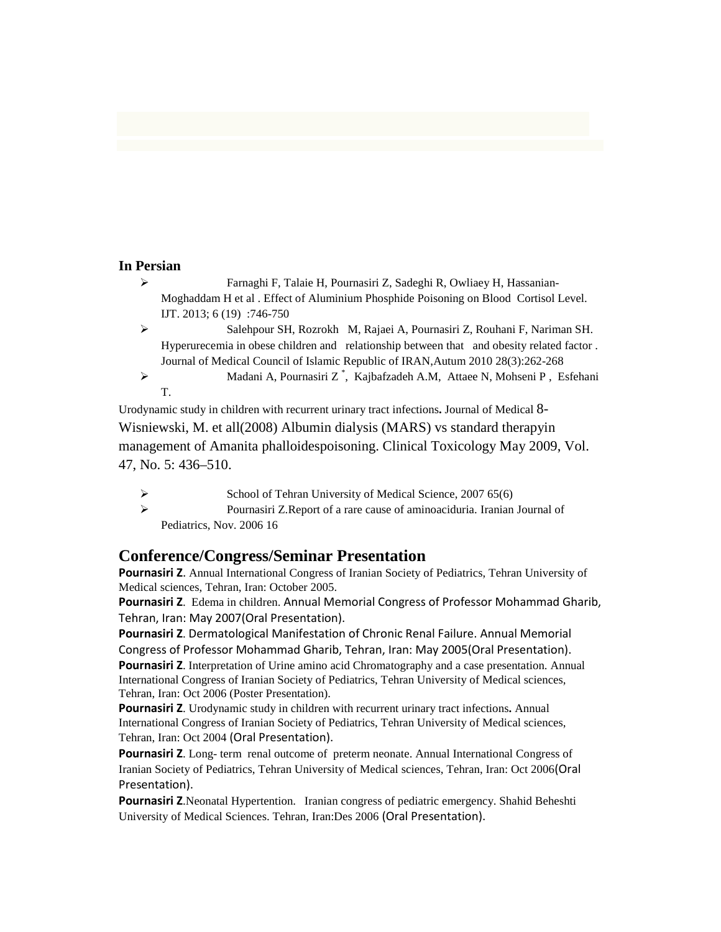#### **In Persian**

- Farnaghi F, Talaie H, Pournasiri Z, Sadeghi R, Owliaey H, Hassanian-Moghaddam H et al . Effect of Aluminium Phosphide Poisoning on Blood Cortisol Level. IJT. 2013; 6 (19) :746-750
- Salehpour SH, Rozrokh M, Rajaei A, Pournasiri Z, Rouhani F, Nariman SH. Hyperurecemia in obese children and relationship between that and obesity related factor . Journal of Medical Council of Islamic Republic of IRAN,Autum 2010 28(3):262-268
- [Madani A,](http://tumj.tums.ac.ir/search.php?slc_lang=en&sid=1&auth=Madani+A) [Pournasiri Z](http://tumj.tums.ac.ir/search.php?slc_lang=en&sid=1&auth=Pournasiri+Z) \* , [Kajbafzadeh A.M,](http://tumj.tums.ac.ir/search.php?slc_lang=en&sid=1&auth=Kajbafzadeh+A.M) [Attaee N,](http://tumj.tums.ac.ir/search.php?slc_lang=en&sid=1&auth=Attaee+N) [Mohseni P](http://tumj.tums.ac.ir/search.php?slc_lang=en&sid=1&auth=Mohseni+P) , [Esfehani](http://tumj.tums.ac.ir/search.php?slc_lang=en&sid=1&auth=Esfehani+T)  [T.](http://tumj.tums.ac.ir/search.php?slc_lang=en&sid=1&auth=Esfehani+T)

[Urodynamic study in children with recurrent urinary tract infections](http://tumj.tums.ac.ir/files/site1/user_files_40de64/eng/tums-A-10-25-773-effd104.pdf)**.** Journal of Medical 8- Wisniewski, M. et all(2008) Albumin dialysis (MARS) vs standard therapyin management of Amanita phalloidespoisoning. Clinical Toxicology May 2009, Vol. 47, No. 5: 436–510.

- School of Tehran University of Medical Science, 2007 65(6)
- Pournasiri Z.Report of a rare cause of aminoaciduria. Iranian Journal of Pediatrics, Nov. 2006 16

### **Conference/Congress/Seminar Presentation**

**Pournasiri Z**. [Annual International Congress of Iranian Society of Pediatrics,](http://www.google.com/url?sa=t&rct=j&q=&esrc=s&source=web&cd=1&cad=rja&ved=0CCgQFjAA&url=http%3A%2F%2Firpediatrics.com%2FCongress%2Fen%2FIntro%2F.html&ei=EPP3Us3NL4aTtAbzu4DwCQ&usg=AFQjCNEmvpJQBAbf4SoCEowI_9_DCGuDgw&sig2=MRhbmIMdnCB20K9S2r6baQ) Tehran University of Medical sciences, Tehran, Iran: October 2005.

**Pournasiri Z**. Edema in children. Annual Memorial Congress of Professor Mohammad Gharib, Tehran, Iran: May 2007(Oral Presentation).

**Pournasiri Z**. Dermatological Manifestation of Chronic Renal Failure. Annual Memorial Congress of Professor Mohammad Gharib, Tehran, Iran: May 2005(Oral Presentation).

**Pournasiri Z**. Interpretation of Urine amino acid Chromatography and a case presentation. [Annual](http://www.google.com/url?sa=t&rct=j&q=&esrc=s&source=web&cd=1&cad=rja&ved=0CCgQFjAA&url=http%3A%2F%2Firpediatrics.com%2FCongress%2Fen%2FIntro%2F.html&ei=EPP3Us3NL4aTtAbzu4DwCQ&usg=AFQjCNEmvpJQBAbf4SoCEowI_9_DCGuDgw&sig2=MRhbmIMdnCB20K9S2r6baQ)  [International Congress of Iranian Society of Pediatrics,](http://www.google.com/url?sa=t&rct=j&q=&esrc=s&source=web&cd=1&cad=rja&ved=0CCgQFjAA&url=http%3A%2F%2Firpediatrics.com%2FCongress%2Fen%2FIntro%2F.html&ei=EPP3Us3NL4aTtAbzu4DwCQ&usg=AFQjCNEmvpJQBAbf4SoCEowI_9_DCGuDgw&sig2=MRhbmIMdnCB20K9S2r6baQ) Tehran University of Medical sciences, Tehran, Iran: Oct 2006 (Poster Presentation).

**Pournasiri Z**. [Urodynamic study in children with recurrent urinary tract infections](http://tumj.tums.ac.ir/files/site1/user_files_40de64/eng/tums-A-10-25-773-effd104.pdf)**.** [Annual](http://www.google.com/url?sa=t&rct=j&q=&esrc=s&source=web&cd=1&cad=rja&ved=0CCgQFjAA&url=http%3A%2F%2Firpediatrics.com%2FCongress%2Fen%2FIntro%2F.html&ei=EPP3Us3NL4aTtAbzu4DwCQ&usg=AFQjCNEmvpJQBAbf4SoCEowI_9_DCGuDgw&sig2=MRhbmIMdnCB20K9S2r6baQ)  [International Congress of Iranian Society of Pediatrics,](http://www.google.com/url?sa=t&rct=j&q=&esrc=s&source=web&cd=1&cad=rja&ved=0CCgQFjAA&url=http%3A%2F%2Firpediatrics.com%2FCongress%2Fen%2FIntro%2F.html&ei=EPP3Us3NL4aTtAbzu4DwCQ&usg=AFQjCNEmvpJQBAbf4SoCEowI_9_DCGuDgw&sig2=MRhbmIMdnCB20K9S2r6baQ) Tehran University of Medical sciences, Tehran, Iran: Oct 2004 (Oral Presentation).

**Pournasiri Z**. Long- term renal outcome of preterm neonate. [Annual International Congress of](http://www.google.com/url?sa=t&rct=j&q=&esrc=s&source=web&cd=1&cad=rja&ved=0CCgQFjAA&url=http%3A%2F%2Firpediatrics.com%2FCongress%2Fen%2FIntro%2F.html&ei=EPP3Us3NL4aTtAbzu4DwCQ&usg=AFQjCNEmvpJQBAbf4SoCEowI_9_DCGuDgw&sig2=MRhbmIMdnCB20K9S2r6baQ)  [Iranian Society of Pediatrics,](http://www.google.com/url?sa=t&rct=j&q=&esrc=s&source=web&cd=1&cad=rja&ved=0CCgQFjAA&url=http%3A%2F%2Firpediatrics.com%2FCongress%2Fen%2FIntro%2F.html&ei=EPP3Us3NL4aTtAbzu4DwCQ&usg=AFQjCNEmvpJQBAbf4SoCEowI_9_DCGuDgw&sig2=MRhbmIMdnCB20K9S2r6baQ) Tehran University of Medical sciences, Tehran, Iran: Oct 2006(Oral Presentation).

**Pournasiri Z**.Neonatal Hypertention. Iranian congress of pediatric emergency. Shahid Beheshti University of Medical Sciences. Tehran, Iran:Des 2006 (Oral Presentation).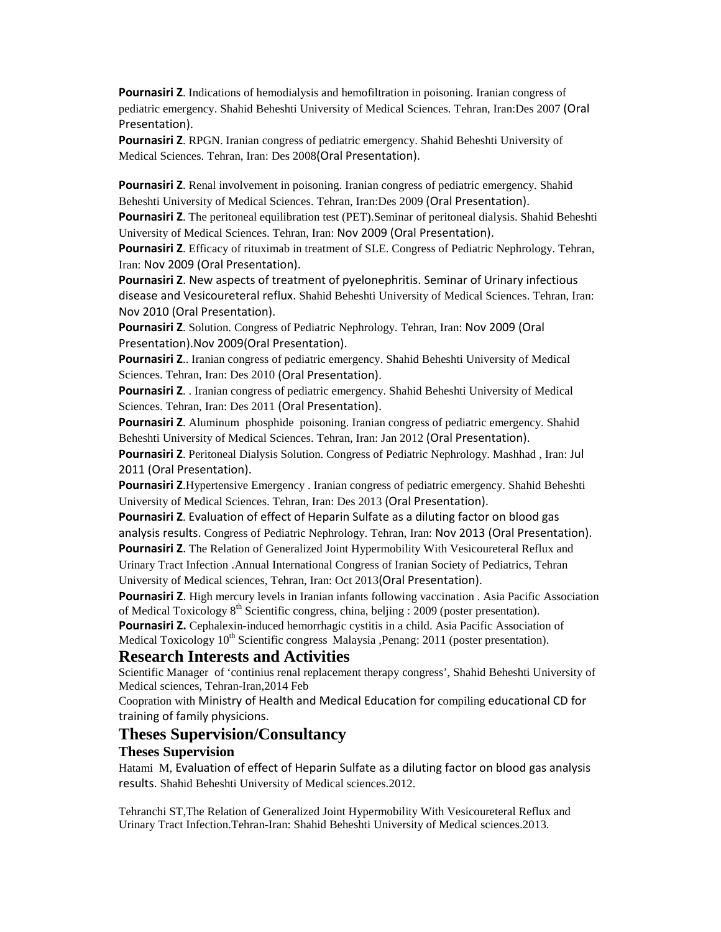**Pournasiri Z**. Indications of hemodialysis and hemofiltration in poisoning. Iranian congress of pediatric emergency. Shahid Beheshti University of Medical Sciences. Tehran, Iran:Des 2007 (Oral Presentation).

**Pournasiri Z**. RPGN. Iranian congress of pediatric emergency. Shahid Beheshti University of Medical Sciences. Tehran, Iran: Des 2008(Oral Presentation).

**Pournasiri Z.** Renal involvement in poisoning. Iranian congress of pediatric emergency. Shahid Beheshti University of Medical Sciences. Tehran, Iran:Des 2009 (Oral Presentation).

**Pournasiri Z**. The peritoneal equilibration test (PET).Seminar of peritoneal dialysis. Shahid Beheshti University of Medical Sciences. Tehran, Iran: Nov 2009 (Oral Presentation).

**Pournasiri Z**. Efficacy of rituximab in treatment of SLE. Congress of Pediatric Nephrology. Tehran, Iran: Nov 2009 (Oral Presentation).

**Pournasiri Z**. New aspects of treatment of pyelonephritis. Seminar of Urinary infectious disease and Vesicoureteral reflux. Shahid Beheshti University of Medical Sciences. Tehran, Iran: Nov 2010 (Oral Presentation).

**Pournasiri Z**. Solution. Congress of Pediatric Nephrology. Tehran, Iran: Nov 2009 (Oral Presentation).Nov 2009(Oral Presentation).

**Pournasiri Z**.. Iranian congress of pediatric emergency. Shahid Beheshti University of Medical Sciences. Tehran, Iran: Des 2010 (Oral Presentation).

**Pournasiri Z**. . Iranian congress of pediatric emergency. Shahid Beheshti University of Medical Sciences. Tehran, Iran: Des 2011 (Oral Presentation).

**Pournasiri Z**. Aluminum phosphide poisoning. Iranian congress of pediatric emergency. Shahid Beheshti University of Medical Sciences. Tehran, Iran: Jan 2012 (Oral Presentation).

**Pournasiri Z**. Peritoneal Dialysis Solution. Congress of Pediatric Nephrology. Mashhad , Iran: Jul 2011 (Oral Presentation).

**Pournasiri Z**.Hypertensive Emergency . Iranian congress of pediatric emergency. Shahid Beheshti University of Medical Sciences. Tehran, Iran: Des 2013 (Oral Presentation).

**Pournasiri Z**. Evaluation of effect of Heparin Sulfate as a diluting factor on blood gas analysis results. Congress of Pediatric Nephrology. Tehran, Iran: Nov 2013 (Oral Presentation).

**Pournasiri Z**. The Relation of Generalized Joint Hypermobility With Vesicoureteral Reflux and Urinary Tract Infection .[Annual International Congress of Iranian Society of Pediatrics,](http://www.google.com/url?sa=t&rct=j&q=&esrc=s&source=web&cd=1&cad=rja&ved=0CCgQFjAA&url=http%3A%2F%2Firpediatrics.com%2FCongress%2Fen%2FIntro%2F.html&ei=EPP3Us3NL4aTtAbzu4DwCQ&usg=AFQjCNEmvpJQBAbf4SoCEowI_9_DCGuDgw&sig2=MRhbmIMdnCB20K9S2r6baQ) Tehran University of Medical sciences, Tehran, Iran: Oct 2013(Oral Presentation).

**Pournasiri Z**. High mercury levels in Iranian infants following vaccination . Asia Pacific Association of Medical Toxicology  $8<sup>th</sup>$  Scientific congress, china, beljing : 2009 (poster presentation).

**Pournasiri Z.** Cephalexin-induced hemorrhagic cystitis in a child. Asia Pacific Association of Medical Toxicology 10<sup>th</sup> Scientific congress Malaysia ,Penang: 2011 (poster presentation).

### **Research Interests and Activities**

Scientific Manager of 'continius renal replacement therapy congress', Shahid Beheshti University of Medical sciences, Tehran-Iran,2014 Feb

Coopration with Ministry of Health and Medical Education for compiling educational CD for training of family physicions.

#### **Theses Supervision/Consultancy**

#### **Theses Supervision**

Hatami M, Evaluation of effect of Heparin Sulfate as a diluting factor on blood gas analysis results. Shahid Beheshti University of Medical sciences.2012.

Tehranchi ST,The Relation of Generalized Joint Hypermobility With Vesicoureteral Reflux and Urinary Tract Infection.Tehran-Iran: Shahid Beheshti University of Medical sciences.2013.